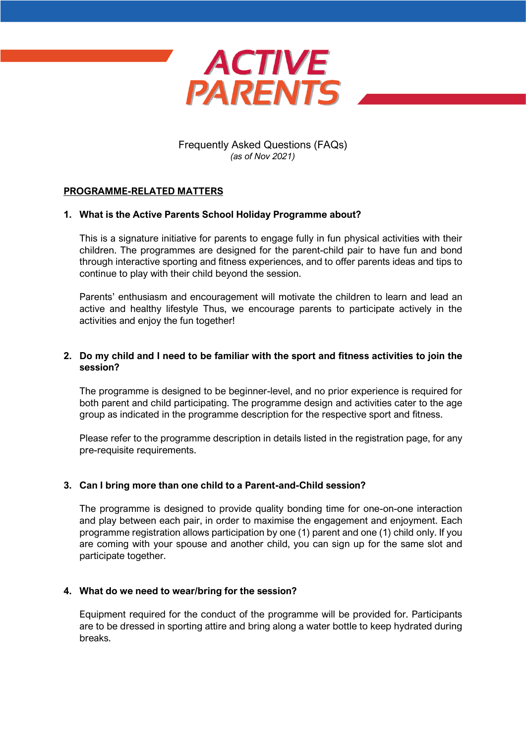

Frequently Asked Questions (FAQs) *(as of Nov 2021)*

### **PROGRAMME-RELATED MATTERS**

### **1. What is the Active Parents School Holiday Programme about?**

This is a signature initiative for parents to engage fully in fun physical activities with their children. The programmes are designed for the parent-child pair to have fun and bond through interactive sporting and fitness experiences, and to offer parents ideas and tips to continue to play with their child beyond the session.

Parents' enthusiasm and encouragement will motivate the children to learn and lead an active and healthy lifestyle Thus, we encourage parents to participate actively in the activities and enjoy the fun together!

### **2. Do my child and I need to be familiar with the sport and fitness activities to join the session?**

The programme is designed to be beginner-level, and no prior experience is required for both parent and child participating. The programme design and activities cater to the age group as indicated in the programme description for the respective sport and fitness.

Please refer to the programme description in details listed in the registration page, for any pre-requisite requirements.

### **3. Can I bring more than one child to a Parent-and-Child session?**

The programme is designed to provide quality bonding time for one-on-one interaction and play between each pair, in order to maximise the engagement and enjoyment. Each programme registration allows participation by one (1) parent and one (1) child only. If you are coming with your spouse and another child, you can sign up for the same slot and participate together.

#### **4. What do we need to wear/bring for the session?**

Equipment required for the conduct of the programme will be provided for. Participants are to be dressed in sporting attire and bring along a water bottle to keep hydrated during breaks.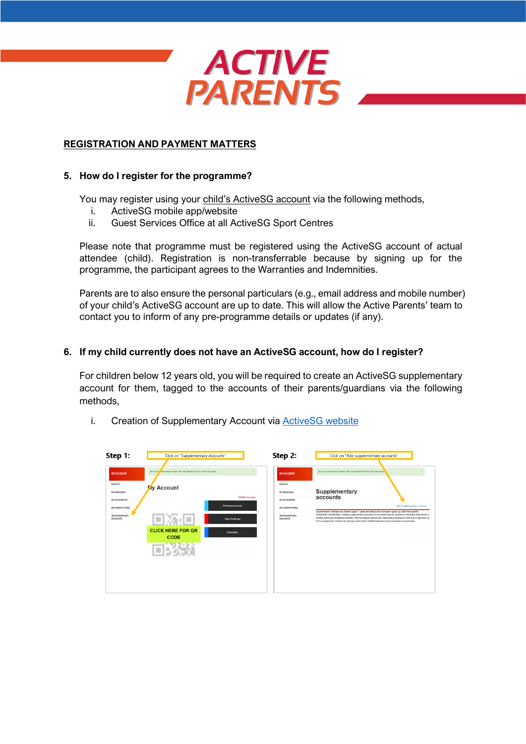

## **REGISTRATION AND PAYMENT MATTERS**

### **5. How do I register for the programme?**

You may register using your child's ActiveSG account via the following methods,

- i. ActiveSG mobile app/website
- ii. Guest Services Office at all ActiveSG Sport Centres

Please note that programme must be registered using the ActiveSG account of actual attendee (child). Registration is non-transferrable because by signing up for the programme, the participant agrees to the Warranties and Indemnities.

Parents are to also ensure the personal particulars (e.g., email address and mobile number) of your child's ActiveSG account are up to date. This will allow the Active Parents' team to contact you to inform of any pre-programme details or updates (if any).

### **6. If my child currently does not have an ActiveSG account, how do I register?**

For children below 12 years old, you will be required to create an ActiveSG supplementary account for them, tagged to the accounts of their parents/guardians via the following methods,

i. Creation of Supplementary Account via [ActiveSG website](https://members.myactivesg.com/)

| Step 1:                                                                                                                           | Click on "Supplementary Accounts"                                                                                                                                                                                                 | Step 2:                                                                                                                           | Click on "Add supplementary accounts"                                                                                                                                                                                                                                                                                                                                                                                                                                                                                                                                                                                       |
|-----------------------------------------------------------------------------------------------------------------------------------|-----------------------------------------------------------------------------------------------------------------------------------------------------------------------------------------------------------------------------------|-----------------------------------------------------------------------------------------------------------------------------------|-----------------------------------------------------------------------------------------------------------------------------------------------------------------------------------------------------------------------------------------------------------------------------------------------------------------------------------------------------------------------------------------------------------------------------------------------------------------------------------------------------------------------------------------------------------------------------------------------------------------------------|
| <b>MY ACCOUNT</b><br>EWALLET<br>MY BOOKINGS<br><b>MY FAVOURITES</b><br>MY COMPETITIONS<br><b>SUPPLEMENTARY</b><br><b>ACCOUNTS</b> | Sync your none steps tracker now! Join GameOn NILA! to win cool prizes.<br>My Account<br><b>Edit My Account</b><br>Purchased passes<br>新闻<br><b>Step Challenge</b><br><b>CLICK HERE FOR QR</b><br><b>SwimSafer</b><br><b>CODE</b> | <b>MY ACCOUNT</b><br>EWALLET<br><b>MY BOOKINGS</b><br><b>MY FAVOURITES</b><br>MY COMPETITIONS<br>SUPPLEMENTARY<br><b>ACCOUNTS</b> | Sync your phone steps tracker now! Join GameOn NILA! to win cool prizes<br>Supplementary<br>accounts<br>Add supplementary account<br>Supplementary members are children (aged 11 years and below) who have been signed up under their parents'<br>MyActiveSG memberships. Creating supplementary accounts is a convenient way for parents to include the whole family in<br>exciting sports and recreational activities. With this feature, parents can make facility bookings for their kids or sign them up<br>for fun programmes. Parents can also top up the child's eWallet balance to pay for bookings and purchases. |